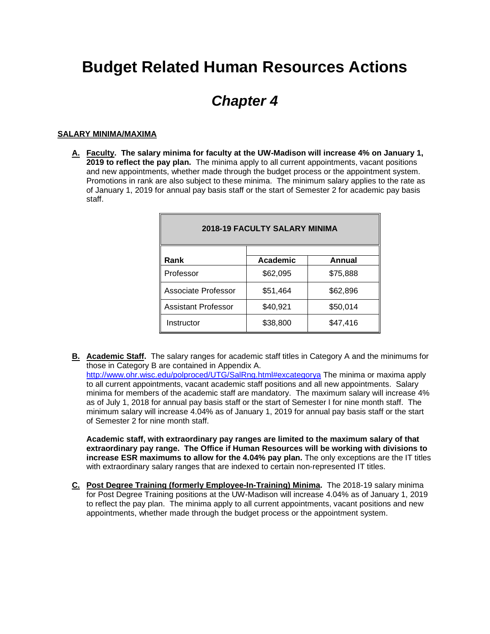# **Budget Related Human Resources Actions**

## *Chapter 4*

## **SALARY MINIMA/MAXIMA**

**A. Faculty. The salary minima for faculty at the UW-Madison will increase 4% on January 1, 2019 to reflect the pay plan.** The minima apply to all current appointments, vacant positions and new appointments, whether made through the budget process or the appointment system. Promotions in rank are also subject to these minima. The minimum salary applies to the rate as of January 1, 2019 for annual pay basis staff or the start of Semester 2 for academic pay basis staff.

| <b>2018-19 FACULTY SALARY MINIMA</b> |                 |               |  |
|--------------------------------------|-----------------|---------------|--|
| Rank                                 | <b>Academic</b> | <b>Annual</b> |  |
| Professor                            | \$62,095        | \$75,888      |  |
| <b>Associate Professor</b>           | \$51,464        | \$62,896      |  |
| <b>Assistant Professor</b>           | \$40,921        | \$50,014      |  |
| Instructor                           | \$38,800        | \$47,416      |  |

**B. Academic Staff.** The salary ranges for academic staff titles in Category A and the minimums for those in Category B are contained in Appendix A.

<http://www.ohr.wisc.edu/polproced/UTG/SalRng.html#excategorya> The minima or maxima apply to all current appointments, vacant academic staff positions and all new appointments. Salary minima for members of the academic staff are mandatory. The maximum salary will increase 4% as of July 1, 2018 for annual pay basis staff or the start of Semester I for nine month staff. The minimum salary will increase 4.04% as of January 1, 2019 for annual pay basis staff or the start of Semester 2 for nine month staff.

**Academic staff, with extraordinary pay ranges are limited to the maximum salary of that extraordinary pay range. The Office if Human Resources will be working with divisions to increase ESR maximums to allow for the 4.04% pay plan.** The only exceptions are the IT titles with extraordinary salary ranges that are indexed to certain non-represented IT titles.

**C. Post Degree Training (formerly Employee-In-Training) Minima.** The 2018-19 salary minima for Post Degree Training positions at the UW-Madison will increase 4.04% as of January 1, 2019 to reflect the pay plan. The minima apply to all current appointments, vacant positions and new appointments, whether made through the budget process or the appointment system.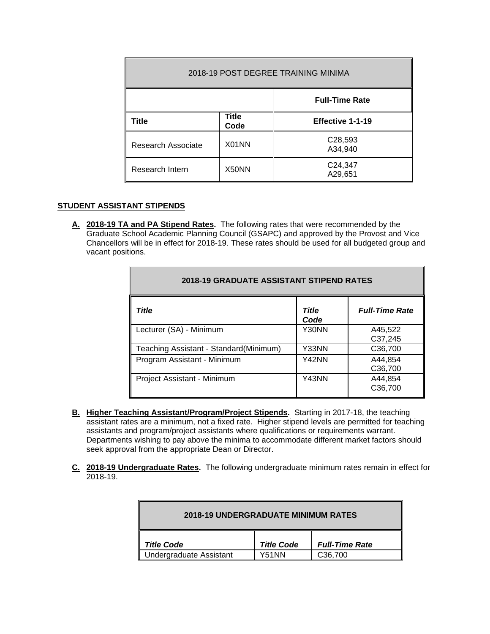| 2018-19 POST DEGREE TRAINING MINIMA |                      |                       |  |
|-------------------------------------|----------------------|-----------------------|--|
|                                     |                      | <b>Full-Time Rate</b> |  |
| Title                               | <b>Title</b><br>Code | Effective 1-1-19      |  |
| Research Associate                  | X01NN                | C28,593<br>A34,940    |  |
| Research Intern                     | X50NN                | C24,347<br>A29,651    |  |

## **STUDENT ASSISTANT STIPENDS**

**A. 2018-19 TA and PA Stipend Rates.** The following rates that were recommended by the Graduate School Academic Planning Council (GSAPC) and approved by the Provost and Vice Chancellors will be in effect for 2018-19. These rates should be used for all budgeted group and vacant positions.

| <b>2018-19 GRADUATE ASSISTANT STIPEND RATES</b> |                      |                       |  |
|-------------------------------------------------|----------------------|-----------------------|--|
| Title                                           | <b>Title</b><br>Code | <b>Full-Time Rate</b> |  |
| Lecturer (SA) - Minimum                         | Y30NN                | A45,522<br>C37,245    |  |
| Teaching Assistant - Standard(Minimum)          | Y33NN                | C36,700               |  |
| Program Assistant - Minimum                     | Y42NN                | A44,854<br>C36,700    |  |
| Project Assistant - Minimum                     | Y43NN                | A44,854<br>C36,700    |  |

- **B. Higher Teaching Assistant/Program/Project Stipends.** Starting in 2017-18, the teaching assistant rates are a minimum, not a fixed rate. Higher stipend levels are permitted for teaching assistants and program/project assistants where qualifications or requirements warrant. Departments wishing to pay above the minima to accommodate different market factors should seek approval from the appropriate Dean or Director.
- **C. 2018-19 Undergraduate Rates.** The following undergraduate minimum rates remain in effect for 2018-19.

| <b>2018-19 UNDERGRADUATE MINIMUM RATES</b> |                   |                       |  |
|--------------------------------------------|-------------------|-----------------------|--|
| <b>Title Code</b>                          | <b>Title Code</b> | <b>Full-Time Rate</b> |  |
| Undergraduate Assistant                    | Y51NN             | C <sub>36.700</sub>   |  |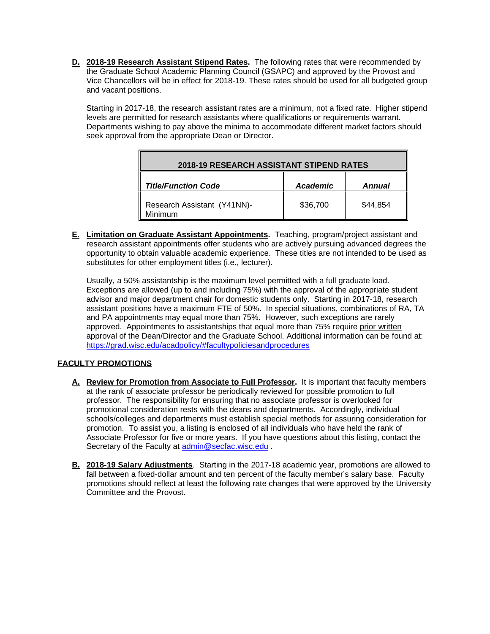**D. 2018-19 Research Assistant Stipend Rates.** The following rates that were recommended by the Graduate School Academic Planning Council (GSAPC) and approved by the Provost and Vice Chancellors will be in effect for 2018-19. These rates should be used for all budgeted group and vacant positions.

Starting in 2017-18, the research assistant rates are a minimum, not a fixed rate. Higher stipend levels are permitted for research assistants where qualifications or requirements warrant. Departments wishing to pay above the minima to accommodate different market factors should seek approval from the appropriate Dean or Director.

| <b>2018-19 RESEARCH ASSISTANT STIPEND RATES</b> |                    |          |  |
|-------------------------------------------------|--------------------|----------|--|
| <b>Title/Function Code</b>                      | Academic<br>Annual |          |  |
| Research Assistant (Y41NN)-<br>Minimum          | \$36,700           | \$44,854 |  |

**E. Limitation on Graduate Assistant Appointments.** Teaching, program/project assistant and research assistant appointments offer students who are actively pursuing advanced degrees the opportunity to obtain valuable academic experience. These titles are not intended to be used as substitutes for other employment titles (i.e., lecturer).

Usually, a 50% assistantship is the maximum level permitted with a full graduate load. Exceptions are allowed (up to and including 75%) with the approval of the appropriate student advisor and major department chair for domestic students only. Starting in 2017-18, research assistant positions have a maximum FTE of 50%. In special situations, combinations of RA, TA and PA appointments may equal more than 75%. However, such exceptions are rarely approved. Appointments to assistantships that equal more than 75% require prior written approval of the Dean/Director and the Graduate School. Additional information can be found at: <https://grad.wisc.edu/acadpolicy/#facultypoliciesandprocedures>

## **FACULTY PROMOTIONS**

- **A. Review for Promotion from Associate to Full Professor.** It is important that faculty members at the rank of associate professor be periodically reviewed for possible promotion to full professor. The responsibility for ensuring that no associate professor is overlooked for promotional consideration rests with the deans and departments. Accordingly, individual schools/colleges and departments must establish special methods for assuring consideration for promotion. To assist you, a listing is enclosed of all individuals who have held the rank of Associate Professor for five or more years. If you have questions about this listing, contact the Secretary of the Faculty at [admin@secfac.wisc.edu](mailto:admin@secfac.wisc.edu).
- **B. 2018-19 Salary Adjustments**. Starting in the 2017-18 academic year, promotions are allowed to fall between a fixed-dollar amount and ten percent of the faculty member's salary base. Faculty promotions should reflect at least the following rate changes that were approved by the University Committee and the Provost.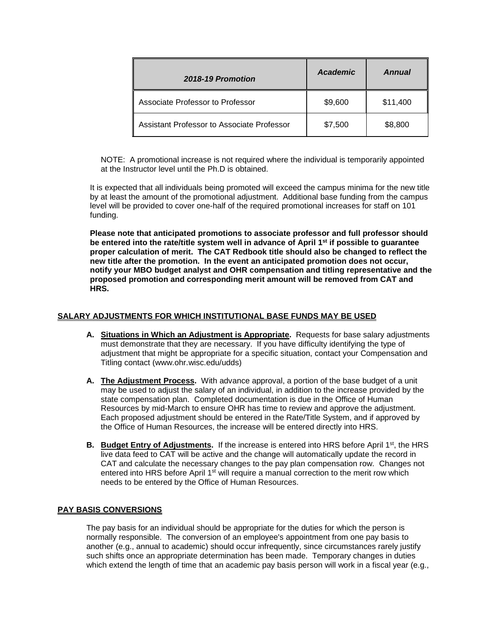| 2018-19 Promotion                          | <b>Academic</b> | Annual   |
|--------------------------------------------|-----------------|----------|
| Associate Professor to Professor           | \$9,600         | \$11,400 |
| Assistant Professor to Associate Professor | \$7,500         | \$8,800  |

NOTE: A promotional increase is not required where the individual is temporarily appointed at the Instructor level until the Ph.D is obtained.

It is expected that all individuals being promoted will exceed the campus minima for the new title by at least the amount of the promotional adjustment. Additional base funding from the campus level will be provided to cover one-half of the required promotional increases for staff on 101 funding.

**Please note that anticipated promotions to associate professor and full professor should be entered into the rate/title system well in advance of April 1st if possible to guarantee proper calculation of merit. The CAT Redbook title should also be changed to reflect the new title after the promotion. In the event an anticipated promotion does not occur, notify your MBO budget analyst and OHR compensation and titling representative and the proposed promotion and corresponding merit amount will be removed from CAT and HRS.** 

## **SALARY ADJUSTMENTS FOR WHICH INSTITUTIONAL BASE FUNDS MAY BE USED**

- **A. Situations in Which an Adjustment is Appropriate.** Requests for base salary adjustments must demonstrate that they are necessary. If you have difficulty identifying the type of adjustment that might be appropriate for a specific situation, contact your Compensation and Titling contact (www.ohr.wisc.edu/udds)
- **A. The Adjustment Process.** With advance approval, a portion of the base budget of a unit may be used to adjust the salary of an individual, in addition to the increase provided by the state compensation plan. Completed documentation is due in the Office of Human Resources by mid-March to ensure OHR has time to review and approve the adjustment. Each proposed adjustment should be entered in the Rate/Title System, and if approved by the Office of Human Resources, the increase will be entered directly into HRS.
- **B.** Budget Entry of Adjustments. If the increase is entered into HRS before April 1<sup>st</sup>, the HRS live data feed to CAT will be active and the change will automatically update the record in CAT and calculate the necessary changes to the pay plan compensation row. Changes not entered into HRS before April  $1<sup>st</sup>$  will require a manual correction to the merit row which needs to be entered by the Office of Human Resources.

## **PAY BASIS CONVERSIONS**

The pay basis for an individual should be appropriate for the duties for which the person is normally responsible. The conversion of an employee's appointment from one pay basis to another (e.g., annual to academic) should occur infrequently, since circumstances rarely justify such shifts once an appropriate determination has been made. Temporary changes in duties which extend the length of time that an academic pay basis person will work in a fiscal year (e.g.,